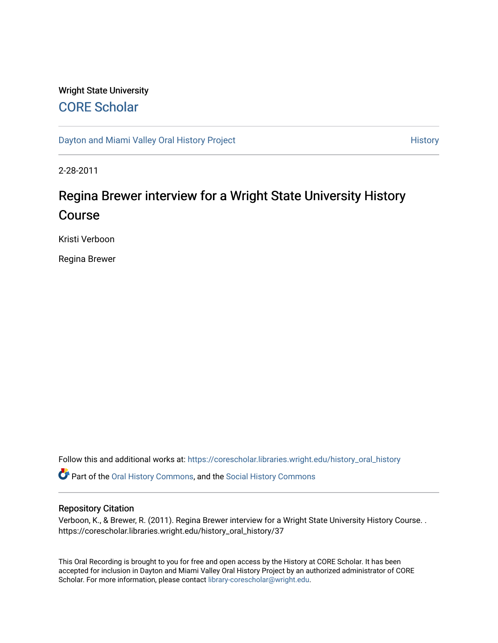# Wright State University [CORE Scholar](https://corescholar.libraries.wright.edu/)

[Dayton and Miami Valley Oral History Project](https://corescholar.libraries.wright.edu/history_oral_history) **History** History

2-28-2011

# Regina Brewer interview for a Wright State University History Course

Kristi Verboon

Regina Brewer

Follow this and additional works at: [https://corescholar.libraries.wright.edu/history\\_oral\\_history](https://corescholar.libraries.wright.edu/history_oral_history?utm_source=corescholar.libraries.wright.edu%2Fhistory_oral_history%2F37&utm_medium=PDF&utm_campaign=PDFCoverPages) 

Part of the [Oral History Commons](http://network.bepress.com/hgg/discipline/1195?utm_source=corescholar.libraries.wright.edu%2Fhistory_oral_history%2F37&utm_medium=PDF&utm_campaign=PDFCoverPages), and the [Social History Commons](http://network.bepress.com/hgg/discipline/506?utm_source=corescholar.libraries.wright.edu%2Fhistory_oral_history%2F37&utm_medium=PDF&utm_campaign=PDFCoverPages)

#### Repository Citation

Verboon, K., & Brewer, R. (2011). Regina Brewer interview for a Wright State University History Course. . https://corescholar.libraries.wright.edu/history\_oral\_history/37

This Oral Recording is brought to you for free and open access by the History at CORE Scholar. It has been accepted for inclusion in Dayton and Miami Valley Oral History Project by an authorized administrator of CORE Scholar. For more information, please contact [library-corescholar@wright.edu](mailto:library-corescholar@wright.edu).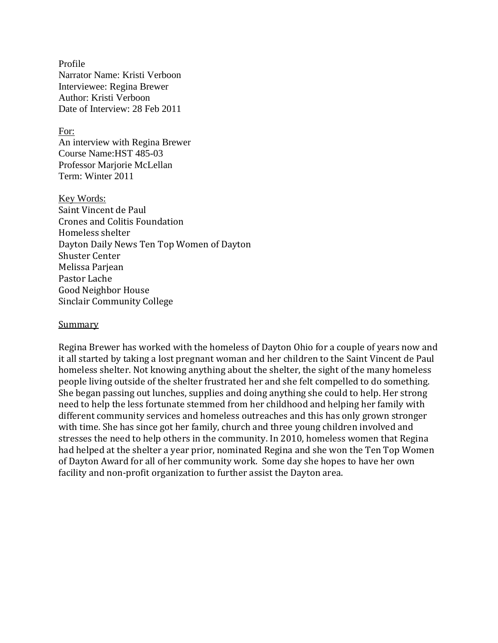Profile Narrator Name: Kristi Verboon Interviewee: Regina Brewer Author: Kristi Verboon Date of Interview: 28 Feb 2011

For: An interview with Regina Brewer Course Name:HST 485-03 Professor Marjorie McLellan Term: Winter 2011

Key Words: Saint Vincent de Paul Crones and Colitis Foundation Homeless shelter Dayton Daily News Ten Top Women of Dayton Shuster Center Melissa Parjean Pastor Lache Good Neighbor House Sinclair Community College

#### **Summary**

Regina Brewer has worked with the homeless of Dayton Ohio for a couple of years now and it all started by taking a lost pregnant woman and her children to the Saint Vincent de Paul homeless shelter. Not knowing anything about the shelter, the sight of the many homeless people living outside of the shelter frustrated her and she felt compelled to do something. She began passing out lunches, supplies and doing anything she could to help. Her strong need to help the less fortunate stemmed from her childhood and helping her family with different community services and homeless outreaches and this has only grown stronger with time. She has since got her family, church and three young children involved and stresses the need to help others in the community. In 2010, homeless women that Regina had helped at the shelter a year prior, nominated Regina and she won the Ten Top Women of Dayton Award for all of her community work. Some day she hopes to have her own facility and non-profit organization to further assist the Dayton area.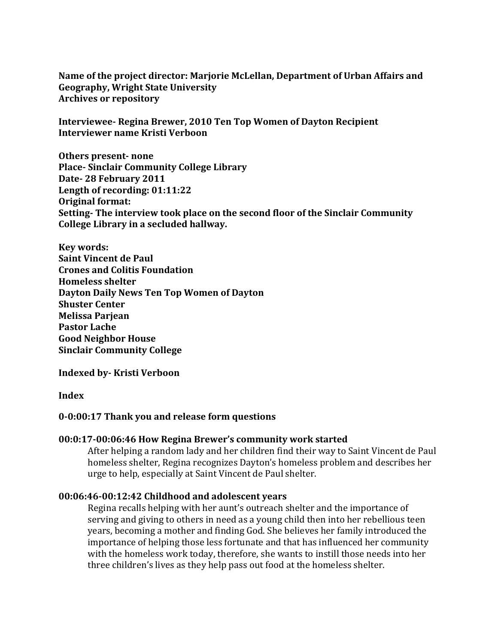**Name of the project director: Marjorie McLellan, Department of Urban Affairs and Geography, Wright State University Archives or repository**

**Interviewee- Regina Brewer, 2010 Ten Top Women of Dayton Recipient Interviewer name Kristi Verboon**

**Others present- none Place- Sinclair Community College Library Date- 28 February 2011 Length of recording: 01:11:22 Original format: Setting- The interview took place on the second floor of the Sinclair Community College Library in a secluded hallway.** 

**Key words: Saint Vincent de Paul Crones and Colitis Foundation Homeless shelter Dayton Daily News Ten Top Women of Dayton Shuster Center Melissa Parjean Pastor Lache Good Neighbor House Sinclair Community College** 

**Indexed by- Kristi Verboon**

**Index**

# **0-0:00:17 Thank you and release form questions**

#### **00:0:17-00:06:46 How Regina Brewer's community work started**

After helping a random lady and her children find their way to Saint Vincent de Paul homeless shelter, Regina recognizes Dayton's homeless problem and describes her urge to help, especially at Saint Vincent de Paul shelter.

#### **00:06:46-00:12:42 Childhood and adolescent years**

Regina recalls helping with her aunt's outreach shelter and the importance of serving and giving to others in need as a young child then into her rebellious teen years, becoming a mother and finding God. She believes her family introduced the importance of helping those less fortunate and that has influenced her community with the homeless work today, therefore, she wants to instill those needs into her three children's lives as they help pass out food at the homeless shelter.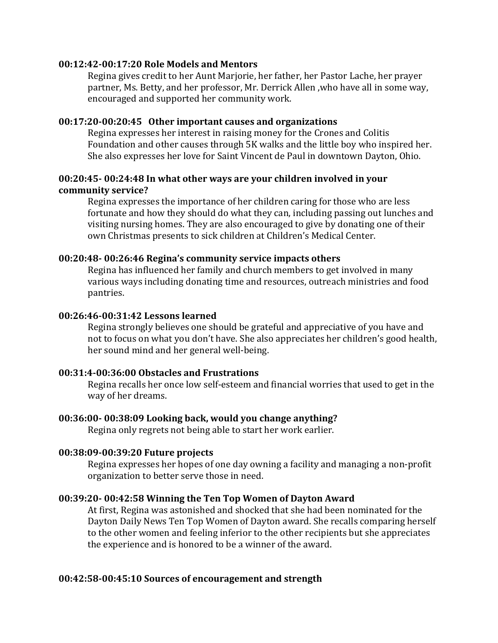#### **00:12:42-00:17:20 Role Models and Mentors**

Regina gives credit to her Aunt Marjorie, her father, her Pastor Lache, her prayer partner, Ms. Betty, and her professor, Mr. Derrick Allen ,who have all in some way, encouraged and supported her community work.

# **00:17:20-00:20:45 Other important causes and organizations**

Regina expresses her interest in raising money for the Crones and Colitis Foundation and other causes through 5K walks and the little boy who inspired her. She also expresses her love for Saint Vincent de Paul in downtown Dayton, Ohio.

# **00:20:45- 00:24:48 In what other ways are your children involved in your community service?**

Regina expresses the importance of her children caring for those who are less fortunate and how they should do what they can, including passing out lunches and visiting nursing homes. They are also encouraged to give by donating one of their own Christmas presents to sick children at Children's Medical Center.

# **00:20:48- 00:26:46 Regina's community service impacts others**

Regina has influenced her family and church members to get involved in many various ways including donating time and resources, outreach ministries and food pantries.

# **00:26:46-00:31:42 Lessons learned**

Regina strongly believes one should be grateful and appreciative of you have and not to focus on what you don't have. She also appreciates her children's good health, her sound mind and her general well-being.

#### **00:31:4-00:36:00 Obstacles and Frustrations**

Regina recalls her once low self-esteem and financial worries that used to get in the way of her dreams.

#### **00:36:00- 00:38:09 Looking back, would you change anything?**

Regina only regrets not being able to start her work earlier.

#### **00:38:09-00:39:20 Future projects**

Regina expresses her hopes of one day owning a facility and managing a non-profit organization to better serve those in need.

# **00:39:20- 00:42:58 Winning the Ten Top Women of Dayton Award**

At first, Regina was astonished and shocked that she had been nominated for the Dayton Daily News Ten Top Women of Dayton award. She recalls comparing herself to the other women and feeling inferior to the other recipients but she appreciates the experience and is honored to be a winner of the award.

# **00:42:58-00:45:10 Sources of encouragement and strength**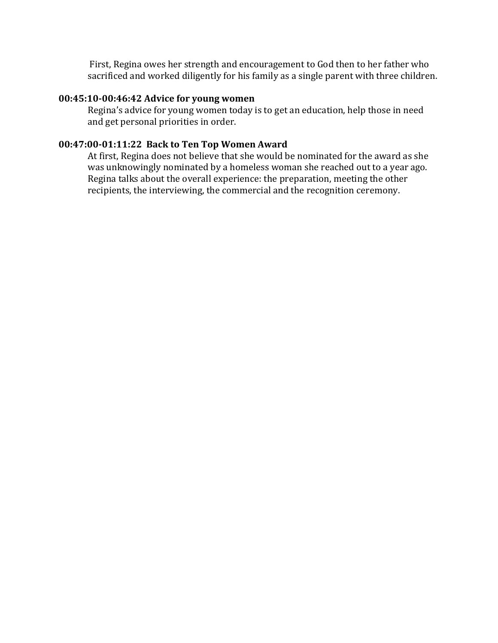First, Regina owes her strength and encouragement to God then to her father who sacrificed and worked diligently for his family as a single parent with three children.

#### **00:45:10-00:46:42 Advice for young women**

Regina's advice for young women today is to get an education, help those in need and get personal priorities in order.

#### **00:47:00-01:11:22 Back to Ten Top Women Award**

At first, Regina does not believe that she would be nominated for the award as she was unknowingly nominated by a homeless woman she reached out to a year ago. Regina talks about the overall experience: the preparation, meeting the other recipients, the interviewing, the commercial and the recognition ceremony.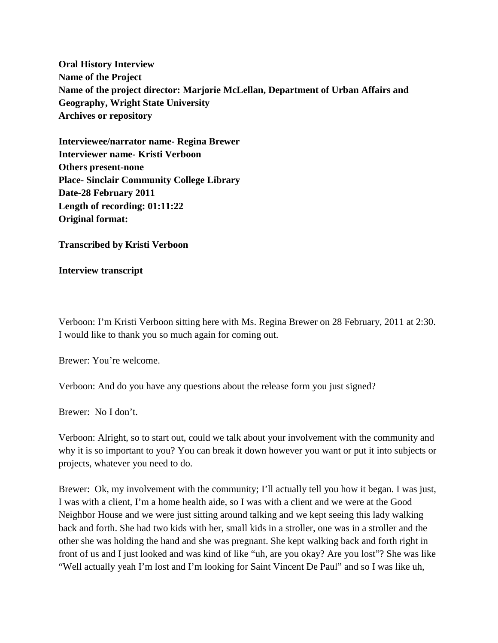**Oral History Interview Name of the Project Name of the project director: Marjorie McLellan, Department of Urban Affairs and Geography, Wright State University Archives or repository**

**Interviewee/narrator name- Regina Brewer Interviewer name- Kristi Verboon Others present-none Place- Sinclair Community College Library Date-28 February 2011 Length of recording: 01:11:22 Original format:**

**Transcribed by Kristi Verboon**

**Interview transcript**

Verboon: I'm Kristi Verboon sitting here with Ms. Regina Brewer on 28 February, 2011 at 2:30. I would like to thank you so much again for coming out.

Brewer: You're welcome.

Verboon: And do you have any questions about the release form you just signed?

Brewer: No I don't.

Verboon: Alright, so to start out, could we talk about your involvement with the community and why it is so important to you? You can break it down however you want or put it into subjects or projects, whatever you need to do.

Brewer: Ok, my involvement with the community; I'll actually tell you how it began. I was just, I was with a client, I'm a home health aide, so I was with a client and we were at the Good Neighbor House and we were just sitting around talking and we kept seeing this lady walking back and forth. She had two kids with her, small kids in a stroller, one was in a stroller and the other she was holding the hand and she was pregnant. She kept walking back and forth right in front of us and I just looked and was kind of like "uh, are you okay? Are you lost"? She was like "Well actually yeah I'm lost and I'm looking for Saint Vincent De Paul" and so I was like uh,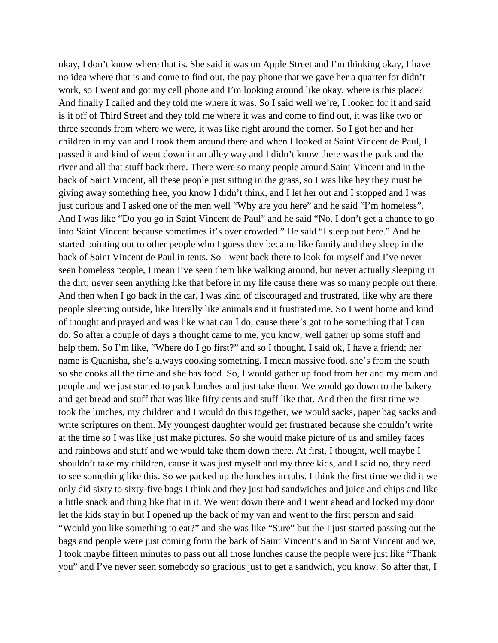okay, I don't know where that is. She said it was on Apple Street and I'm thinking okay, I have no idea where that is and come to find out, the pay phone that we gave her a quarter for didn't work, so I went and got my cell phone and I'm looking around like okay, where is this place? And finally I called and they told me where it was. So I said well we're, I looked for it and said is it off of Third Street and they told me where it was and come to find out, it was like two or three seconds from where we were, it was like right around the corner. So I got her and her children in my van and I took them around there and when I looked at Saint Vincent de Paul, I passed it and kind of went down in an alley way and I didn't know there was the park and the river and all that stuff back there. There were so many people around Saint Vincent and in the back of Saint Vincent, all these people just sitting in the grass, so I was like hey they must be giving away something free, you know I didn't think, and I let her out and I stopped and I was just curious and I asked one of the men well "Why are you here" and he said "I'm homeless". And I was like "Do you go in Saint Vincent de Paul" and he said "No, I don't get a chance to go into Saint Vincent because sometimes it's over crowded." He said "I sleep out here." And he started pointing out to other people who I guess they became like family and they sleep in the back of Saint Vincent de Paul in tents. So I went back there to look for myself and I've never seen homeless people, I mean I've seen them like walking around, but never actually sleeping in the dirt; never seen anything like that before in my life cause there was so many people out there. And then when I go back in the car, I was kind of discouraged and frustrated, like why are there people sleeping outside, like literally like animals and it frustrated me. So I went home and kind of thought and prayed and was like what can I do, cause there's got to be something that I can do. So after a couple of days a thought came to me, you know, well gather up some stuff and help them. So I'm like, "Where do I go first?" and so I thought, I said ok, I have a friend; her name is Quanisha, she's always cooking something. I mean massive food, she's from the south so she cooks all the time and she has food. So, I would gather up food from her and my mom and people and we just started to pack lunches and just take them. We would go down to the bakery and get bread and stuff that was like fifty cents and stuff like that. And then the first time we took the lunches, my children and I would do this together, we would sacks, paper bag sacks and write scriptures on them. My youngest daughter would get frustrated because she couldn't write at the time so I was like just make pictures. So she would make picture of us and smiley faces and rainbows and stuff and we would take them down there. At first, I thought, well maybe I shouldn't take my children, cause it was just myself and my three kids, and I said no, they need to see something like this. So we packed up the lunches in tubs. I think the first time we did it we only did sixty to sixty-five bags I think and they just had sandwiches and juice and chips and like a little snack and thing like that in it. We went down there and I went ahead and locked my door let the kids stay in but I opened up the back of my van and went to the first person and said "Would you like something to eat?" and she was like "Sure" but the I just started passing out the bags and people were just coming form the back of Saint Vincent's and in Saint Vincent and we, I took maybe fifteen minutes to pass out all those lunches cause the people were just like "Thank you" and I've never seen somebody so gracious just to get a sandwich, you know. So after that, I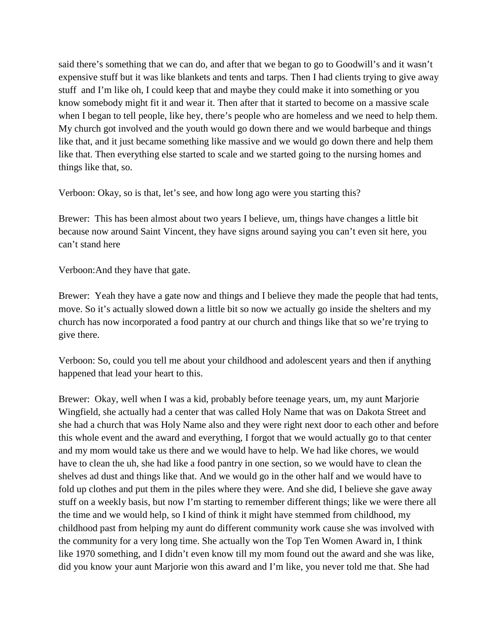said there's something that we can do, and after that we began to go to Goodwill's and it wasn't expensive stuff but it was like blankets and tents and tarps. Then I had clients trying to give away stuff and I'm like oh, I could keep that and maybe they could make it into something or you know somebody might fit it and wear it. Then after that it started to become on a massive scale when I began to tell people, like hey, there's people who are homeless and we need to help them. My church got involved and the youth would go down there and we would barbeque and things like that, and it just became something like massive and we would go down there and help them like that. Then everything else started to scale and we started going to the nursing homes and things like that, so.

Verboon: Okay, so is that, let's see, and how long ago were you starting this?

Brewer: This has been almost about two years I believe, um, things have changes a little bit because now around Saint Vincent, they have signs around saying you can't even sit here, you can't stand here

Verboon:And they have that gate.

Brewer: Yeah they have a gate now and things and I believe they made the people that had tents, move. So it's actually slowed down a little bit so now we actually go inside the shelters and my church has now incorporated a food pantry at our church and things like that so we're trying to give there.

Verboon: So, could you tell me about your childhood and adolescent years and then if anything happened that lead your heart to this.

Brewer: Okay, well when I was a kid, probably before teenage years, um, my aunt Marjorie Wingfield, she actually had a center that was called Holy Name that was on Dakota Street and she had a church that was Holy Name also and they were right next door to each other and before this whole event and the award and everything, I forgot that we would actually go to that center and my mom would take us there and we would have to help. We had like chores, we would have to clean the uh, she had like a food pantry in one section, so we would have to clean the shelves ad dust and things like that. And we would go in the other half and we would have to fold up clothes and put them in the piles where they were. And she did, I believe she gave away stuff on a weekly basis, but now I'm starting to remember different things; like we were there all the time and we would help, so I kind of think it might have stemmed from childhood, my childhood past from helping my aunt do different community work cause she was involved with the community for a very long time. She actually won the Top Ten Women Award in, I think like 1970 something, and I didn't even know till my mom found out the award and she was like, did you know your aunt Marjorie won this award and I'm like, you never told me that. She had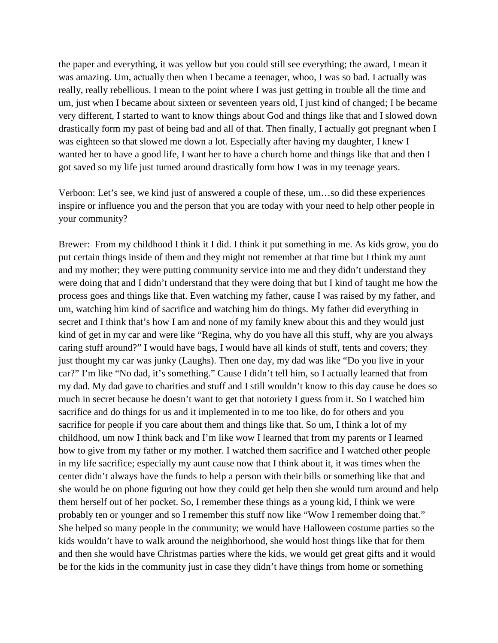the paper and everything, it was yellow but you could still see everything; the award, I mean it was amazing. Um, actually then when I became a teenager, whoo, I was so bad. I actually was really, really rebellious. I mean to the point where I was just getting in trouble all the time and um, just when I became about sixteen or seventeen years old, I just kind of changed; I be became very different, I started to want to know things about God and things like that and I slowed down drastically form my past of being bad and all of that. Then finally, I actually got pregnant when I was eighteen so that slowed me down a lot. Especially after having my daughter, I knew I wanted her to have a good life, I want her to have a church home and things like that and then I got saved so my life just turned around drastically form how I was in my teenage years.

Verboon: Let's see, we kind just of answered a couple of these, um…so did these experiences inspire or influence you and the person that you are today with your need to help other people in your community?

Brewer: From my childhood I think it I did. I think it put something in me. As kids grow, you do put certain things inside of them and they might not remember at that time but I think my aunt and my mother; they were putting community service into me and they didn't understand they were doing that and I didn't understand that they were doing that but I kind of taught me how the process goes and things like that. Even watching my father, cause I was raised by my father, and um, watching him kind of sacrifice and watching him do things. My father did everything in secret and I think that's how I am and none of my family knew about this and they would just kind of get in my car and were like "Regina, why do you have all this stuff, why are you always caring stuff around?" I would have bags, I would have all kinds of stuff, tents and covers; they just thought my car was junky (Laughs). Then one day, my dad was like "Do you live in your car?" I'm like "No dad, it's something." Cause I didn't tell him, so I actually learned that from my dad. My dad gave to charities and stuff and I still wouldn't know to this day cause he does so much in secret because he doesn't want to get that notoriety I guess from it. So I watched him sacrifice and do things for us and it implemented in to me too like, do for others and you sacrifice for people if you care about them and things like that. So um, I think a lot of my childhood, um now I think back and I'm like wow I learned that from my parents or I learned how to give from my father or my mother. I watched them sacrifice and I watched other people in my life sacrifice; especially my aunt cause now that I think about it, it was times when the center didn't always have the funds to help a person with their bills or something like that and she would be on phone figuring out how they could get help then she would turn around and help them herself out of her pocket. So, I remember these things as a young kid, I think we were probably ten or younger and so I remember this stuff now like "Wow I remember doing that." She helped so many people in the community; we would have Halloween costume parties so the kids wouldn't have to walk around the neighborhood, she would host things like that for them and then she would have Christmas parties where the kids, we would get great gifts and it would be for the kids in the community just in case they didn't have things from home or something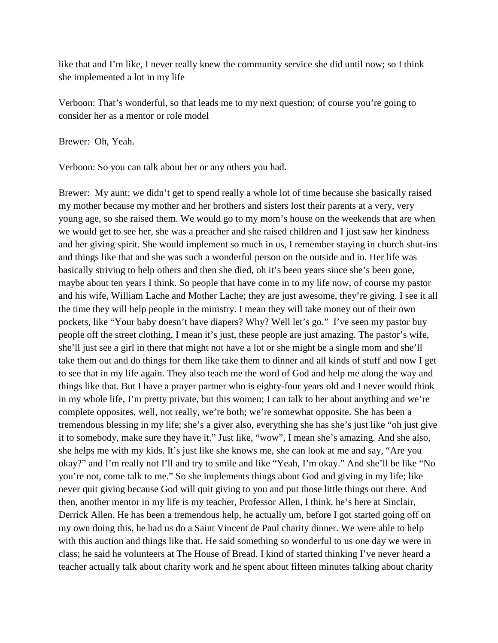like that and I'm like, I never really knew the community service she did until now; so I think she implemented a lot in my life

Verboon: That's wonderful, so that leads me to my next question; of course you're going to consider her as a mentor or role model

Brewer: Oh, Yeah.

Verboon: So you can talk about her or any others you had.

Brewer: My aunt; we didn't get to spend really a whole lot of time because she basically raised my mother because my mother and her brothers and sisters lost their parents at a very, very young age, so she raised them. We would go to my mom's house on the weekends that are when we would get to see her, she was a preacher and she raised children and I just saw her kindness and her giving spirit. She would implement so much in us, I remember staying in church shut-ins and things like that and she was such a wonderful person on the outside and in. Her life was basically striving to help others and then she died, oh it's been years since she's been gone, maybe about ten years I think. So people that have come in to my life now, of course my pastor and his wife, William Lache and Mother Lache; they are just awesome, they're giving. I see it all the time they will help people in the ministry. I mean they will take money out of their own pockets, like "Your baby doesn't have diapers? Why? Well let's go." I've seen my pastor buy people off the street clothing, I mean it's just, these people are just amazing. The pastor's wife, she'll just see a girl in there that might not have a lot or she might be a single mom and she'll take them out and do things for them like take them to dinner and all kinds of stuff and now I get to see that in my life again. They also teach me the word of God and help me along the way and things like that. But I have a prayer partner who is eighty-four years old and I never would think in my whole life, I'm pretty private, but this women; I can talk to her about anything and we're complete opposites, well, not really, we're both; we're somewhat opposite. She has been a tremendous blessing in my life; she's a giver also, everything she has she's just like "oh just give it to somebody, make sure they have it." Just like, "wow", I mean she's amazing. And she also, she helps me with my kids. It's just like she knows me, she can look at me and say, "Are you okay?" and I'm really not I'll and try to smile and like "Yeah, I'm okay." And she'll be like "No you're not, come talk to me." So she implements things about God and giving in my life; like never quit giving because God will quit giving to you and put those little things out there. And then, another mentor in my life is my teacher, Professor Allen, I think, he's here at Sinclair, Derrick Allen. He has been a tremendous help, he actually um, before I got started going off on my own doing this, he had us do a Saint Vincent de Paul charity dinner. We were able to help with this auction and things like that. He said something so wonderful to us one day we were in class; he said he volunteers at The House of Bread. I kind of started thinking I've never heard a teacher actually talk about charity work and he spent about fifteen minutes talking about charity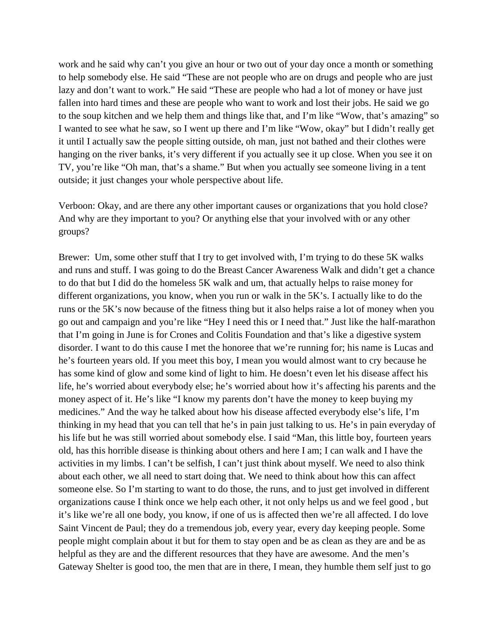work and he said why can't you give an hour or two out of your day once a month or something to help somebody else. He said "These are not people who are on drugs and people who are just lazy and don't want to work." He said "These are people who had a lot of money or have just fallen into hard times and these are people who want to work and lost their jobs. He said we go to the soup kitchen and we help them and things like that, and I'm like "Wow, that's amazing" so I wanted to see what he saw, so I went up there and I'm like "Wow, okay" but I didn't really get it until I actually saw the people sitting outside, oh man, just not bathed and their clothes were hanging on the river banks, it's very different if you actually see it up close. When you see it on TV, you're like "Oh man, that's a shame." But when you actually see someone living in a tent outside; it just changes your whole perspective about life.

Verboon: Okay, and are there any other important causes or organizations that you hold close? And why are they important to you? Or anything else that your involved with or any other groups?

Brewer: Um, some other stuff that I try to get involved with, I'm trying to do these 5K walks and runs and stuff. I was going to do the Breast Cancer Awareness Walk and didn't get a chance to do that but I did do the homeless 5K walk and um, that actually helps to raise money for different organizations, you know, when you run or walk in the 5K's. I actually like to do the runs or the 5K's now because of the fitness thing but it also helps raise a lot of money when you go out and campaign and you're like "Hey I need this or I need that." Just like the half-marathon that I'm going in June is for Crones and Colitis Foundation and that's like a digestive system disorder. I want to do this cause I met the honoree that we're running for; his name is Lucas and he's fourteen years old. If you meet this boy, I mean you would almost want to cry because he has some kind of glow and some kind of light to him. He doesn't even let his disease affect his life, he's worried about everybody else; he's worried about how it's affecting his parents and the money aspect of it. He's like "I know my parents don't have the money to keep buying my medicines." And the way he talked about how his disease affected everybody else's life, I'm thinking in my head that you can tell that he's in pain just talking to us. He's in pain everyday of his life but he was still worried about somebody else. I said "Man, this little boy, fourteen years old, has this horrible disease is thinking about others and here I am; I can walk and I have the activities in my limbs. I can't be selfish, I can't just think about myself. We need to also think about each other, we all need to start doing that. We need to think about how this can affect someone else. So I'm starting to want to do those, the runs, and to just get involved in different organizations cause I think once we help each other, it not only helps us and we feel good , but it's like we're all one body, you know, if one of us is affected then we're all affected. I do love Saint Vincent de Paul; they do a tremendous job, every year, every day keeping people. Some people might complain about it but for them to stay open and be as clean as they are and be as helpful as they are and the different resources that they have are awesome. And the men's Gateway Shelter is good too, the men that are in there, I mean, they humble them self just to go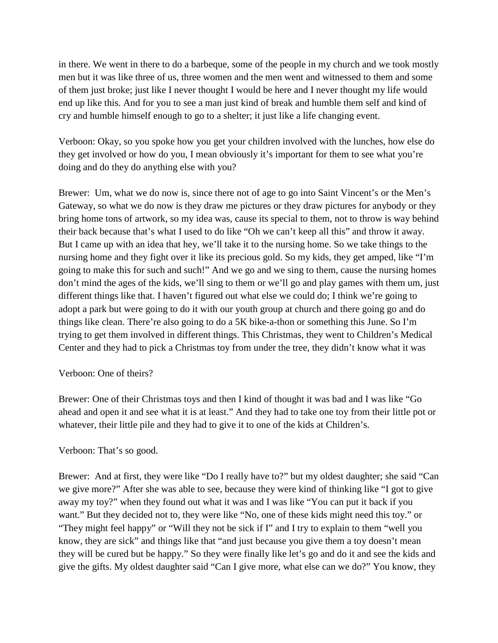in there. We went in there to do a barbeque, some of the people in my church and we took mostly men but it was like three of us, three women and the men went and witnessed to them and some of them just broke; just like I never thought I would be here and I never thought my life would end up like this. And for you to see a man just kind of break and humble them self and kind of cry and humble himself enough to go to a shelter; it just like a life changing event.

Verboon: Okay, so you spoke how you get your children involved with the lunches, how else do they get involved or how do you, I mean obviously it's important for them to see what you're doing and do they do anything else with you?

Brewer: Um, what we do now is, since there not of age to go into Saint Vincent's or the Men's Gateway, so what we do now is they draw me pictures or they draw pictures for anybody or they bring home tons of artwork, so my idea was, cause its special to them, not to throw is way behind their back because that's what I used to do like "Oh we can't keep all this" and throw it away. But I came up with an idea that hey, we'll take it to the nursing home. So we take things to the nursing home and they fight over it like its precious gold. So my kids, they get amped, like "I'm going to make this for such and such!" And we go and we sing to them, cause the nursing homes don't mind the ages of the kids, we'll sing to them or we'll go and play games with them um, just different things like that. I haven't figured out what else we could do; I think we're going to adopt a park but were going to do it with our youth group at church and there going go and do things like clean. There're also going to do a 5K bike-a-thon or something this June. So I'm trying to get them involved in different things. This Christmas, they went to Children's Medical Center and they had to pick a Christmas toy from under the tree, they didn't know what it was

# Verboon: One of theirs?

Brewer: One of their Christmas toys and then I kind of thought it was bad and I was like "Go ahead and open it and see what it is at least." And they had to take one toy from their little pot or whatever, their little pile and they had to give it to one of the kids at Children's.

# Verboon: That's so good.

Brewer: And at first, they were like "Do I really have to?" but my oldest daughter; she said "Can we give more?" After she was able to see, because they were kind of thinking like "I got to give away my toy?" when they found out what it was and I was like "You can put it back if you want." But they decided not to, they were like "No, one of these kids might need this toy." or "They might feel happy" or "Will they not be sick if I" and I try to explain to them "well you know, they are sick" and things like that "and just because you give them a toy doesn't mean they will be cured but be happy." So they were finally like let's go and do it and see the kids and give the gifts. My oldest daughter said "Can I give more, what else can we do?" You know, they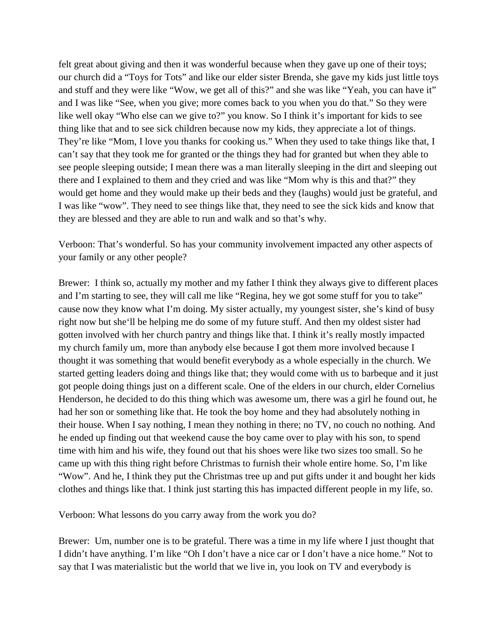felt great about giving and then it was wonderful because when they gave up one of their toys; our church did a "Toys for Tots" and like our elder sister Brenda, she gave my kids just little toys and stuff and they were like "Wow, we get all of this?" and she was like "Yeah, you can have it" and I was like "See, when you give; more comes back to you when you do that." So they were like well okay "Who else can we give to?" you know. So I think it's important for kids to see thing like that and to see sick children because now my kids, they appreciate a lot of things. They're like "Mom, I love you thanks for cooking us." When they used to take things like that, I can't say that they took me for granted or the things they had for granted but when they able to see people sleeping outside; I mean there was a man literally sleeping in the dirt and sleeping out there and I explained to them and they cried and was like "Mom why is this and that?" they would get home and they would make up their beds and they (laughs) would just be grateful, and I was like "wow". They need to see things like that, they need to see the sick kids and know that they are blessed and they are able to run and walk and so that's why.

Verboon: That's wonderful. So has your community involvement impacted any other aspects of your family or any other people?

Brewer: I think so, actually my mother and my father I think they always give to different places and I'm starting to see, they will call me like "Regina, hey we got some stuff for you to take" cause now they know what I'm doing. My sister actually, my youngest sister, she's kind of busy right now but she'll be helping me do some of my future stuff. And then my oldest sister had gotten involved with her church pantry and things like that. I think it's really mostly impacted my church family um, more than anybody else because I got them more involved because I thought it was something that would benefit everybody as a whole especially in the church. We started getting leaders doing and things like that; they would come with us to barbeque and it just got people doing things just on a different scale. One of the elders in our church, elder Cornelius Henderson, he decided to do this thing which was awesome um, there was a girl he found out, he had her son or something like that. He took the boy home and they had absolutely nothing in their house. When I say nothing, I mean they nothing in there; no TV, no couch no nothing. And he ended up finding out that weekend cause the boy came over to play with his son, to spend time with him and his wife, they found out that his shoes were like two sizes too small. So he came up with this thing right before Christmas to furnish their whole entire home. So, I'm like "Wow". And he, I think they put the Christmas tree up and put gifts under it and bought her kids clothes and things like that. I think just starting this has impacted different people in my life, so.

Verboon: What lessons do you carry away from the work you do?

Brewer: Um, number one is to be grateful. There was a time in my life where I just thought that I didn't have anything. I'm like "Oh I don't have a nice car or I don't have a nice home." Not to say that I was materialistic but the world that we live in, you look on TV and everybody is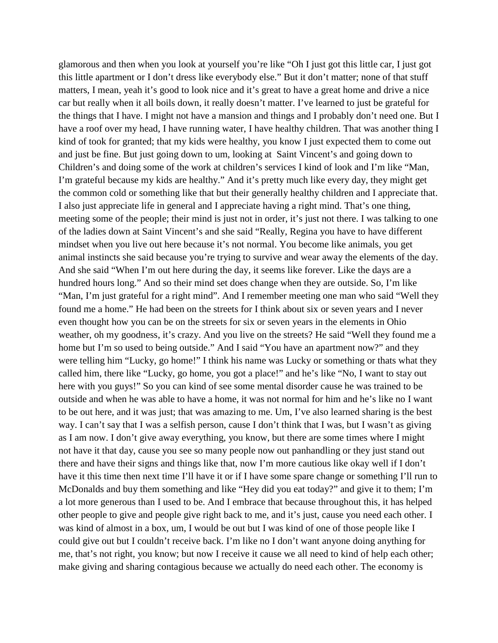glamorous and then when you look at yourself you're like "Oh I just got this little car, I just got this little apartment or I don't dress like everybody else." But it don't matter; none of that stuff matters, I mean, yeah it's good to look nice and it's great to have a great home and drive a nice car but really when it all boils down, it really doesn't matter. I've learned to just be grateful for the things that I have. I might not have a mansion and things and I probably don't need one. But I have a roof over my head, I have running water, I have healthy children. That was another thing I kind of took for granted; that my kids were healthy, you know I just expected them to come out and just be fine. But just going down to um, looking at Saint Vincent's and going down to Children's and doing some of the work at children's services I kind of look and I'm like "Man, I'm grateful because my kids are healthy." And it's pretty much like every day, they might get the common cold or something like that but their generally healthy children and I appreciate that. I also just appreciate life in general and I appreciate having a right mind. That's one thing, meeting some of the people; their mind is just not in order, it's just not there. I was talking to one of the ladies down at Saint Vincent's and she said "Really, Regina you have to have different mindset when you live out here because it's not normal. You become like animals, you get animal instincts she said because you're trying to survive and wear away the elements of the day. And she said "When I'm out here during the day, it seems like forever. Like the days are a hundred hours long." And so their mind set does change when they are outside. So, I'm like "Man, I'm just grateful for a right mind". And I remember meeting one man who said "Well they found me a home." He had been on the streets for I think about six or seven years and I never even thought how you can be on the streets for six or seven years in the elements in Ohio weather, oh my goodness, it's crazy. And you live on the streets? He said "Well they found me a home but I'm so used to being outside." And I said "You have an apartment now?" and they were telling him "Lucky, go home!" I think his name was Lucky or something or thats what they called him, there like "Lucky, go home, you got a place!" and he's like "No, I want to stay out here with you guys!" So you can kind of see some mental disorder cause he was trained to be outside and when he was able to have a home, it was not normal for him and he's like no I want to be out here, and it was just; that was amazing to me. Um, I've also learned sharing is the best way. I can't say that I was a selfish person, cause I don't think that I was, but I wasn't as giving as I am now. I don't give away everything, you know, but there are some times where I might not have it that day, cause you see so many people now out panhandling or they just stand out there and have their signs and things like that, now I'm more cautious like okay well if I don't have it this time then next time I'll have it or if I have some spare change or something I'll run to McDonalds and buy them something and like "Hey did you eat today?" and give it to them; I'm a lot more generous than I used to be. And I embrace that because throughout this, it has helped other people to give and people give right back to me, and it's just, cause you need each other. I was kind of almost in a box, um, I would be out but I was kind of one of those people like I could give out but I couldn't receive back. I'm like no I don't want anyone doing anything for me, that's not right, you know; but now I receive it cause we all need to kind of help each other; make giving and sharing contagious because we actually do need each other. The economy is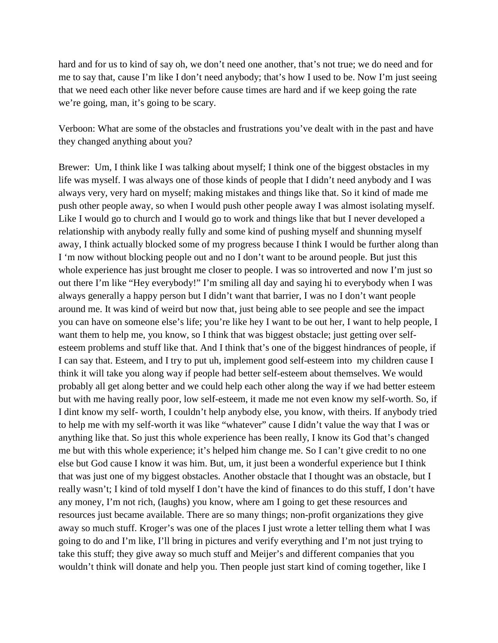hard and for us to kind of say oh, we don't need one another, that's not true; we do need and for me to say that, cause I'm like I don't need anybody; that's how I used to be. Now I'm just seeing that we need each other like never before cause times are hard and if we keep going the rate we're going, man, it's going to be scary.

Verboon: What are some of the obstacles and frustrations you've dealt with in the past and have they changed anything about you?

Brewer: Um, I think like I was talking about myself; I think one of the biggest obstacles in my life was myself. I was always one of those kinds of people that I didn't need anybody and I was always very, very hard on myself; making mistakes and things like that. So it kind of made me push other people away, so when I would push other people away I was almost isolating myself. Like I would go to church and I would go to work and things like that but I never developed a relationship with anybody really fully and some kind of pushing myself and shunning myself away, I think actually blocked some of my progress because I think I would be further along than I 'm now without blocking people out and no I don't want to be around people. But just this whole experience has just brought me closer to people. I was so introverted and now I'm just so out there I'm like "Hey everybody!" I'm smiling all day and saying hi to everybody when I was always generally a happy person but I didn't want that barrier, I was no I don't want people around me. It was kind of weird but now that, just being able to see people and see the impact you can have on someone else's life; you're like hey I want to be out her, I want to help people, I want them to help me, you know, so I think that was biggest obstacle; just getting over selfesteem problems and stuff like that. And I think that's one of the biggest hindrances of people, if I can say that. Esteem, and I try to put uh, implement good self-esteem into my children cause I think it will take you along way if people had better self-esteem about themselves. We would probably all get along better and we could help each other along the way if we had better esteem but with me having really poor, low self-esteem, it made me not even know my self-worth. So, if I dint know my self- worth, I couldn't help anybody else, you know, with theirs. If anybody tried to help me with my self-worth it was like "whatever" cause I didn't value the way that I was or anything like that. So just this whole experience has been really, I know its God that's changed me but with this whole experience; it's helped him change me. So I can't give credit to no one else but God cause I know it was him. But, um, it just been a wonderful experience but I think that was just one of my biggest obstacles. Another obstacle that I thought was an obstacle, but I really wasn't; I kind of told myself I don't have the kind of finances to do this stuff, I don't have any money, I'm not rich, (laughs) you know, where am I going to get these resources and resources just became available. There are so many things; non-profit organizations they give away so much stuff. Kroger's was one of the places I just wrote a letter telling them what I was going to do and I'm like, I'll bring in pictures and verify everything and I'm not just trying to take this stuff; they give away so much stuff and Meijer's and different companies that you wouldn't think will donate and help you. Then people just start kind of coming together, like I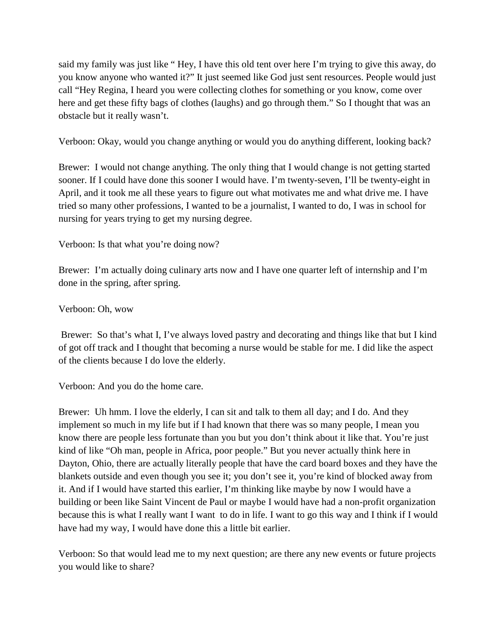said my family was just like " Hey, I have this old tent over here I'm trying to give this away, do you know anyone who wanted it?" It just seemed like God just sent resources. People would just call "Hey Regina, I heard you were collecting clothes for something or you know, come over here and get these fifty bags of clothes (laughs) and go through them." So I thought that was an obstacle but it really wasn't.

Verboon: Okay, would you change anything or would you do anything different, looking back?

Brewer: I would not change anything. The only thing that I would change is not getting started sooner. If I could have done this sooner I would have. I'm twenty-seven, I'll be twenty-eight in April, and it took me all these years to figure out what motivates me and what drive me. I have tried so many other professions, I wanted to be a journalist, I wanted to do, I was in school for nursing for years trying to get my nursing degree.

Verboon: Is that what you're doing now?

Brewer: I'm actually doing culinary arts now and I have one quarter left of internship and I'm done in the spring, after spring.

Verboon: Oh, wow

Brewer: So that's what I, I've always loved pastry and decorating and things like that but I kind of got off track and I thought that becoming a nurse would be stable for me. I did like the aspect of the clients because I do love the elderly.

Verboon: And you do the home care.

Brewer: Uh hmm. I love the elderly, I can sit and talk to them all day; and I do. And they implement so much in my life but if I had known that there was so many people, I mean you know there are people less fortunate than you but you don't think about it like that. You're just kind of like "Oh man, people in Africa, poor people." But you never actually think here in Dayton, Ohio, there are actually literally people that have the card board boxes and they have the blankets outside and even though you see it; you don't see it, you're kind of blocked away from it. And if I would have started this earlier, I'm thinking like maybe by now I would have a building or been like Saint Vincent de Paul or maybe I would have had a non-profit organization because this is what I really want I want to do in life. I want to go this way and I think if I would have had my way, I would have done this a little bit earlier.

Verboon: So that would lead me to my next question; are there any new events or future projects you would like to share?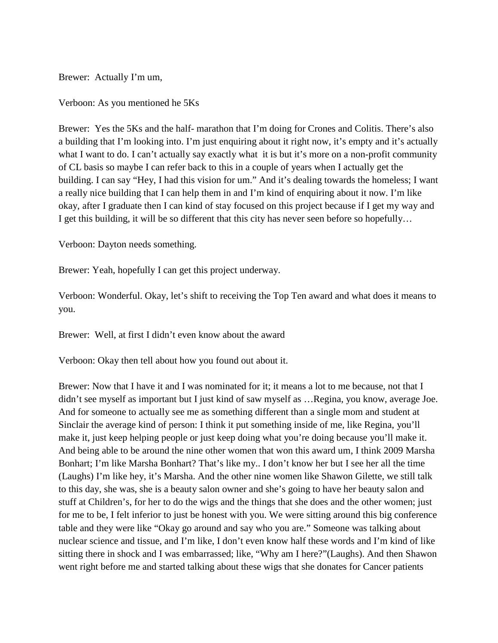Brewer: Actually I'm um,

Verboon: As you mentioned he 5Ks

Brewer: Yes the 5Ks and the half- marathon that I'm doing for Crones and Colitis. There's also a building that I'm looking into. I'm just enquiring about it right now, it's empty and it's actually what I want to do. I can't actually say exactly what it is but it's more on a non-profit community of CL basis so maybe I can refer back to this in a couple of years when I actually get the building. I can say "Hey, I had this vision for um." And it's dealing towards the homeless; I want a really nice building that I can help them in and I'm kind of enquiring about it now. I'm like okay, after I graduate then I can kind of stay focused on this project because if I get my way and I get this building, it will be so different that this city has never seen before so hopefully…

Verboon: Dayton needs something.

Brewer: Yeah, hopefully I can get this project underway.

Verboon: Wonderful. Okay, let's shift to receiving the Top Ten award and what does it means to you.

Brewer: Well, at first I didn't even know about the award

Verboon: Okay then tell about how you found out about it.

Brewer: Now that I have it and I was nominated for it; it means a lot to me because, not that I didn't see myself as important but I just kind of saw myself as …Regina, you know, average Joe. And for someone to actually see me as something different than a single mom and student at Sinclair the average kind of person: I think it put something inside of me, like Regina, you'll make it, just keep helping people or just keep doing what you're doing because you'll make it. And being able to be around the nine other women that won this award um, I think 2009 Marsha Bonhart; I'm like Marsha Bonhart? That's like my.. I don't know her but I see her all the time (Laughs) I'm like hey, it's Marsha. And the other nine women like Shawon Gilette, we still talk to this day, she was, she is a beauty salon owner and she's going to have her beauty salon and stuff at Children's, for her to do the wigs and the things that she does and the other women; just for me to be, I felt inferior to just be honest with you. We were sitting around this big conference table and they were like "Okay go around and say who you are." Someone was talking about nuclear science and tissue, and I'm like, I don't even know half these words and I'm kind of like sitting there in shock and I was embarrassed; like, "Why am I here?"(Laughs). And then Shawon went right before me and started talking about these wigs that she donates for Cancer patients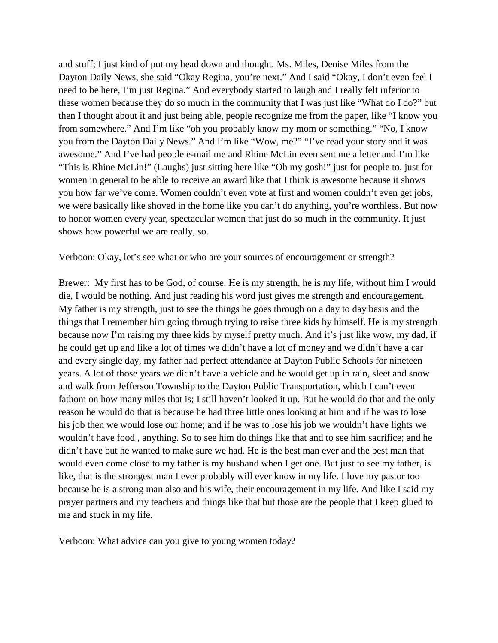and stuff; I just kind of put my head down and thought. Ms. Miles, Denise Miles from the Dayton Daily News, she said "Okay Regina, you're next." And I said "Okay, I don't even feel I need to be here, I'm just Regina." And everybody started to laugh and I really felt inferior to these women because they do so much in the community that I was just like "What do I do?" but then I thought about it and just being able, people recognize me from the paper, like "I know you from somewhere." And I'm like "oh you probably know my mom or something." "No, I know you from the Dayton Daily News." And I'm like "Wow, me?" "I've read your story and it was awesome." And I've had people e-mail me and Rhine McLin even sent me a letter and I'm like "This is Rhine McLin!" (Laughs) just sitting here like "Oh my gosh!" just for people to, just for women in general to be able to receive an award like that I think is awesome because it shows you how far we've come. Women couldn't even vote at first and women couldn't even get jobs, we were basically like shoved in the home like you can't do anything, you're worthless. But now to honor women every year, spectacular women that just do so much in the community. It just shows how powerful we are really, so.

Verboon: Okay, let's see what or who are your sources of encouragement or strength?

Brewer: My first has to be God, of course. He is my strength, he is my life, without him I would die, I would be nothing. And just reading his word just gives me strength and encouragement. My father is my strength, just to see the things he goes through on a day to day basis and the things that I remember him going through trying to raise three kids by himself. He is my strength because now I'm raising my three kids by myself pretty much. And it's just like wow, my dad, if he could get up and like a lot of times we didn't have a lot of money and we didn't have a car and every single day, my father had perfect attendance at Dayton Public Schools for nineteen years. A lot of those years we didn't have a vehicle and he would get up in rain, sleet and snow and walk from Jefferson Township to the Dayton Public Transportation, which I can't even fathom on how many miles that is; I still haven't looked it up. But he would do that and the only reason he would do that is because he had three little ones looking at him and if he was to lose his job then we would lose our home; and if he was to lose his job we wouldn't have lights we wouldn't have food , anything. So to see him do things like that and to see him sacrifice; and he didn't have but he wanted to make sure we had. He is the best man ever and the best man that would even come close to my father is my husband when I get one. But just to see my father, is like, that is the strongest man I ever probably will ever know in my life. I love my pastor too because he is a strong man also and his wife, their encouragement in my life. And like I said my prayer partners and my teachers and things like that but those are the people that I keep glued to me and stuck in my life.

Verboon: What advice can you give to young women today?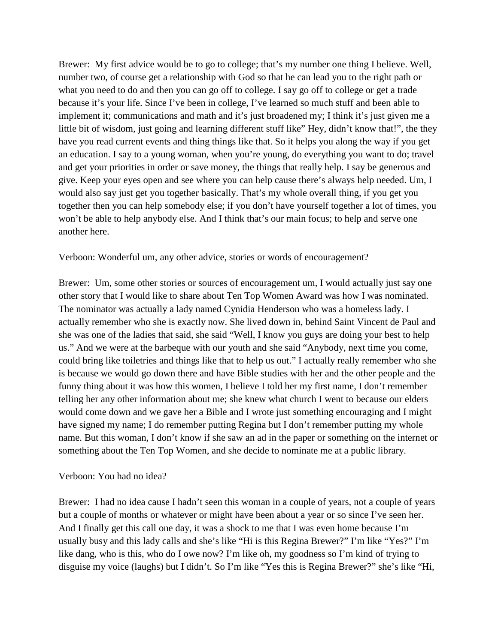Brewer: My first advice would be to go to college; that's my number one thing I believe. Well, number two, of course get a relationship with God so that he can lead you to the right path or what you need to do and then you can go off to college. I say go off to college or get a trade because it's your life. Since I've been in college, I've learned so much stuff and been able to implement it; communications and math and it's just broadened my; I think it's just given me a little bit of wisdom, just going and learning different stuff like" Hey, didn't know that!", the they have you read current events and thing things like that. So it helps you along the way if you get an education. I say to a young woman, when you're young, do everything you want to do; travel and get your priorities in order or save money, the things that really help. I say be generous and give. Keep your eyes open and see where you can help cause there's always help needed. Um, I would also say just get you together basically. That's my whole overall thing, if you get you together then you can help somebody else; if you don't have yourself together a lot of times, you won't be able to help anybody else. And I think that's our main focus; to help and serve one another here.

Verboon: Wonderful um, any other advice, stories or words of encouragement?

Brewer: Um, some other stories or sources of encouragement um, I would actually just say one other story that I would like to share about Ten Top Women Award was how I was nominated. The nominator was actually a lady named Cynidia Henderson who was a homeless lady. I actually remember who she is exactly now. She lived down in, behind Saint Vincent de Paul and she was one of the ladies that said, she said "Well, I know you guys are doing your best to help us." And we were at the barbeque with our youth and she said "Anybody, next time you come, could bring like toiletries and things like that to help us out." I actually really remember who she is because we would go down there and have Bible studies with her and the other people and the funny thing about it was how this women, I believe I told her my first name, I don't remember telling her any other information about me; she knew what church I went to because our elders would come down and we gave her a Bible and I wrote just something encouraging and I might have signed my name; I do remember putting Regina but I don't remember putting my whole name. But this woman, I don't know if she saw an ad in the paper or something on the internet or something about the Ten Top Women, and she decide to nominate me at a public library.

#### Verboon: You had no idea?

Brewer: I had no idea cause I hadn't seen this woman in a couple of years, not a couple of years but a couple of months or whatever or might have been about a year or so since I've seen her. And I finally get this call one day, it was a shock to me that I was even home because I'm usually busy and this lady calls and she's like "Hi is this Regina Brewer?" I'm like "Yes?" I'm like dang, who is this, who do I owe now? I'm like oh, my goodness so I'm kind of trying to disguise my voice (laughs) but I didn't. So I'm like "Yes this is Regina Brewer?" she's like "Hi,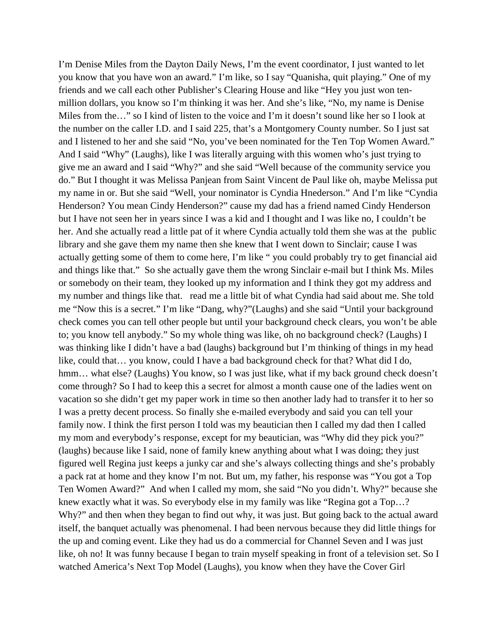I'm Denise Miles from the Dayton Daily News, I'm the event coordinator, I just wanted to let you know that you have won an award." I'm like, so I say "Quanisha, quit playing." One of my friends and we call each other Publisher's Clearing House and like "Hey you just won tenmillion dollars, you know so I'm thinking it was her. And she's like, "No, my name is Denise Miles from the…" so I kind of listen to the voice and I'm it doesn't sound like her so I look at the number on the caller I.D. and I said 225, that's a Montgomery County number. So I just sat and I listened to her and she said "No, you've been nominated for the Ten Top Women Award." And I said "Why" (Laughs), like I was literally arguing with this women who's just trying to give me an award and I said "Why?" and she said "Well because of the community service you do." But I thought it was Melissa Panjean from Saint Vincent de Paul like oh, maybe Melissa put my name in or. But she said "Well, your nominator is Cyndia Hnederson." And I'm like "Cyndia Henderson? You mean Cindy Henderson?" cause my dad has a friend named Cindy Henderson but I have not seen her in years since I was a kid and I thought and I was like no, I couldn't be her. And she actually read a little pat of it where Cyndia actually told them she was at the public library and she gave them my name then she knew that I went down to Sinclair; cause I was actually getting some of them to come here, I'm like " you could probably try to get financial aid and things like that." So she actually gave them the wrong Sinclair e-mail but I think Ms. Miles or somebody on their team, they looked up my information and I think they got my address and my number and things like that. read me a little bit of what Cyndia had said about me. She told me "Now this is a secret." I'm like "Dang, why?"(Laughs) and she said "Until your background check comes you can tell other people but until your background check clears, you won't be able to; you know tell anybody." So my whole thing was like, oh no background check? (Laughs) I was thinking like I didn't have a bad (laughs) background but I'm thinking of things in my head like, could that… you know, could I have a bad background check for that? What did I do, hmm... what else? (Laughs) You know, so I was just like, what if my back ground check doesn't come through? So I had to keep this a secret for almost a month cause one of the ladies went on vacation so she didn't get my paper work in time so then another lady had to transfer it to her so I was a pretty decent process. So finally she e-mailed everybody and said you can tell your family now. I think the first person I told was my beautician then I called my dad then I called my mom and everybody's response, except for my beautician, was "Why did they pick you?" (laughs) because like I said, none of family knew anything about what I was doing; they just figured well Regina just keeps a junky car and she's always collecting things and she's probably a pack rat at home and they know I'm not. But um, my father, his response was "You got a Top Ten Women Award?" And when I called my mom, she said "No you didn't. Why?" because she knew exactly what it was. So everybody else in my family was like "Regina got a Top…? Why?" and then when they began to find out why, it was just. But going back to the actual award itself, the banquet actually was phenomenal. I had been nervous because they did little things for the up and coming event. Like they had us do a commercial for Channel Seven and I was just like, oh no! It was funny because I began to train myself speaking in front of a television set. So I watched America's Next Top Model (Laughs), you know when they have the Cover Girl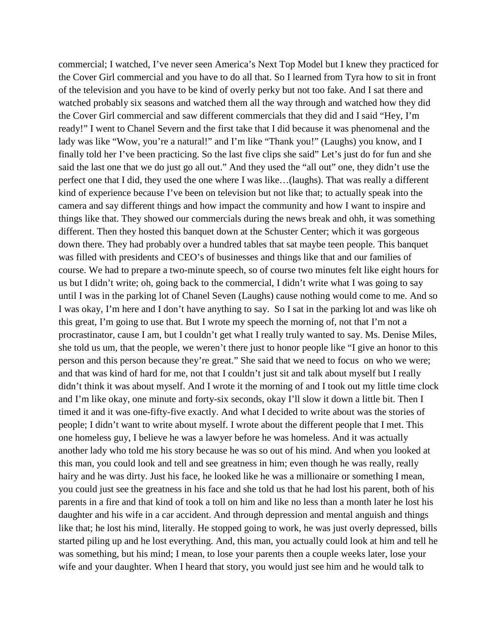commercial; I watched, I've never seen America's Next Top Model but I knew they practiced for the Cover Girl commercial and you have to do all that. So I learned from Tyra how to sit in front of the television and you have to be kind of overly perky but not too fake. And I sat there and watched probably six seasons and watched them all the way through and watched how they did the Cover Girl commercial and saw different commercials that they did and I said "Hey, I'm ready!" I went to Chanel Severn and the first take that I did because it was phenomenal and the lady was like "Wow, you're a natural!" and I'm like "Thank you!" (Laughs) you know, and I finally told her I've been practicing. So the last five clips she said" Let's just do for fun and she said the last one that we do just go all out." And they used the "all out" one, they didn't use the perfect one that I did, they used the one where I was like…(laughs). That was really a different kind of experience because I've been on television but not like that; to actually speak into the camera and say different things and how impact the community and how I want to inspire and things like that. They showed our commercials during the news break and ohh, it was something different. Then they hosted this banquet down at the Schuster Center; which it was gorgeous down there. They had probably over a hundred tables that sat maybe teen people. This banquet was filled with presidents and CEO's of businesses and things like that and our families of course. We had to prepare a two-minute speech, so of course two minutes felt like eight hours for us but I didn't write; oh, going back to the commercial, I didn't write what I was going to say until I was in the parking lot of Chanel Seven (Laughs) cause nothing would come to me. And so I was okay, I'm here and I don't have anything to say. So I sat in the parking lot and was like oh this great, I'm going to use that. But I wrote my speech the morning of, not that I'm not a procrastinator, cause I am, but I couldn't get what I really truly wanted to say. Ms. Denise Miles, she told us um, that the people, we weren't there just to honor people like "I give an honor to this person and this person because they're great." She said that we need to focus on who we were; and that was kind of hard for me, not that I couldn't just sit and talk about myself but I really didn't think it was about myself. And I wrote it the morning of and I took out my little time clock and I'm like okay, one minute and forty-six seconds, okay I'll slow it down a little bit. Then I timed it and it was one-fifty-five exactly. And what I decided to write about was the stories of people; I didn't want to write about myself. I wrote about the different people that I met. This one homeless guy, I believe he was a lawyer before he was homeless. And it was actually another lady who told me his story because he was so out of his mind. And when you looked at this man, you could look and tell and see greatness in him; even though he was really, really hairy and he was dirty. Just his face, he looked like he was a millionaire or something I mean, you could just see the greatness in his face and she told us that he had lost his parent, both of his parents in a fire and that kind of took a toll on him and like no less than a month later he lost his daughter and his wife in a car accident. And through depression and mental anguish and things like that; he lost his mind, literally. He stopped going to work, he was just overly depressed, bills started piling up and he lost everything. And, this man, you actually could look at him and tell he was something, but his mind; I mean, to lose your parents then a couple weeks later, lose your wife and your daughter. When I heard that story, you would just see him and he would talk to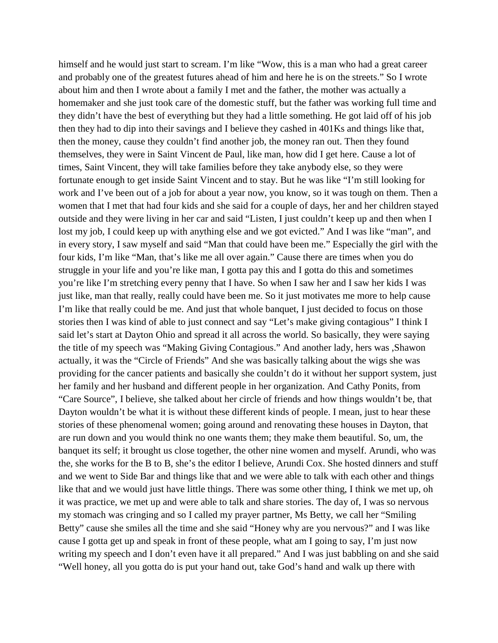himself and he would just start to scream. I'm like "Wow, this is a man who had a great career and probably one of the greatest futures ahead of him and here he is on the streets." So I wrote about him and then I wrote about a family I met and the father, the mother was actually a homemaker and she just took care of the domestic stuff, but the father was working full time and they didn't have the best of everything but they had a little something. He got laid off of his job then they had to dip into their savings and I believe they cashed in 401Ks and things like that, then the money, cause they couldn't find another job, the money ran out. Then they found themselves, they were in Saint Vincent de Paul, like man, how did I get here. Cause a lot of times, Saint Vincent, they will take families before they take anybody else, so they were fortunate enough to get inside Saint Vincent and to stay. But he was like "I'm still looking for work and I've been out of a job for about a year now, you know, so it was tough on them. Then a women that I met that had four kids and she said for a couple of days, her and her children stayed outside and they were living in her car and said "Listen, I just couldn't keep up and then when I lost my job, I could keep up with anything else and we got evicted." And I was like "man", and in every story, I saw myself and said "Man that could have been me." Especially the girl with the four kids, I'm like "Man, that's like me all over again." Cause there are times when you do struggle in your life and you're like man, I gotta pay this and I gotta do this and sometimes you're like I'm stretching every penny that I have. So when I saw her and I saw her kids I was just like, man that really, really could have been me. So it just motivates me more to help cause I'm like that really could be me. And just that whole banquet, I just decided to focus on those stories then I was kind of able to just connect and say "Let's make giving contagious" I think I said let's start at Dayton Ohio and spread it all across the world. So basically, they were saying the title of my speech was "Making Giving Contagious." And another lady, hers was ,Shawon actually, it was the "Circle of Friends" And she was basically talking about the wigs she was providing for the cancer patients and basically she couldn't do it without her support system, just her family and her husband and different people in her organization. And Cathy Ponits, from "Care Source", I believe, she talked about her circle of friends and how things wouldn't be, that Dayton wouldn't be what it is without these different kinds of people. I mean, just to hear these stories of these phenomenal women; going around and renovating these houses in Dayton, that are run down and you would think no one wants them; they make them beautiful. So, um, the banquet its self; it brought us close together, the other nine women and myself. Arundi, who was the, she works for the B to B, she's the editor I believe, Arundi Cox. She hosted dinners and stuff and we went to Side Bar and things like that and we were able to talk with each other and things like that and we would just have little things. There was some other thing, I think we met up, oh it was practice, we met up and were able to talk and share stories. The day of, I was so nervous my stomach was cringing and so I called my prayer partner, Ms Betty, we call her "Smiling Betty" cause she smiles all the time and she said "Honey why are you nervous?" and I was like cause I gotta get up and speak in front of these people, what am I going to say, I'm just now writing my speech and I don't even have it all prepared." And I was just babbling on and she said "Well honey, all you gotta do is put your hand out, take God's hand and walk up there with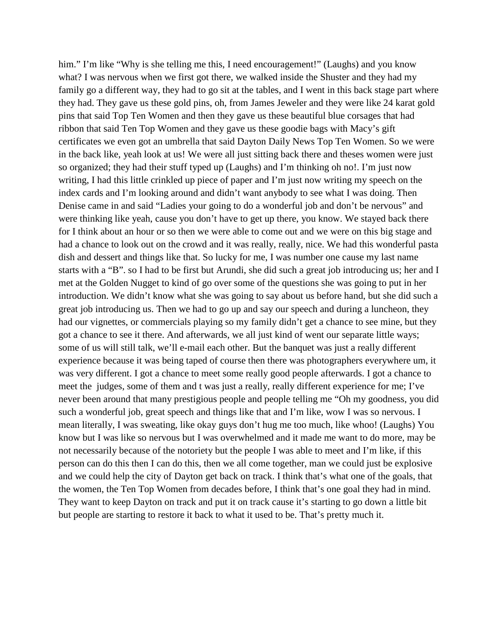him." I'm like "Why is she telling me this, I need encouragement!" (Laughs) and you know what? I was nervous when we first got there, we walked inside the Shuster and they had my family go a different way, they had to go sit at the tables, and I went in this back stage part where they had. They gave us these gold pins, oh, from James Jeweler and they were like 24 karat gold pins that said Top Ten Women and then they gave us these beautiful blue corsages that had ribbon that said Ten Top Women and they gave us these goodie bags with Macy's gift certificates we even got an umbrella that said Dayton Daily News Top Ten Women. So we were in the back like, yeah look at us! We were all just sitting back there and theses women were just so organized; they had their stuff typed up (Laughs) and I'm thinking oh no!. I'm just now writing, I had this little crinkled up piece of paper and I'm just now writing my speech on the index cards and I'm looking around and didn't want anybody to see what I was doing. Then Denise came in and said "Ladies your going to do a wonderful job and don't be nervous" and were thinking like yeah, cause you don't have to get up there, you know. We stayed back there for I think about an hour or so then we were able to come out and we were on this big stage and had a chance to look out on the crowd and it was really, really, nice. We had this wonderful pasta dish and dessert and things like that. So lucky for me, I was number one cause my last name starts with a "B". so I had to be first but Arundi, she did such a great job introducing us; her and I met at the Golden Nugget to kind of go over some of the questions she was going to put in her introduction. We didn't know what she was going to say about us before hand, but she did such a great job introducing us. Then we had to go up and say our speech and during a luncheon, they had our vignettes, or commercials playing so my family didn't get a chance to see mine, but they got a chance to see it there. And afterwards, we all just kind of went our separate little ways; some of us will still talk, we'll e-mail each other. But the banquet was just a really different experience because it was being taped of course then there was photographers everywhere um, it was very different. I got a chance to meet some really good people afterwards. I got a chance to meet the judges, some of them and t was just a really, really different experience for me; I've never been around that many prestigious people and people telling me "Oh my goodness, you did such a wonderful job, great speech and things like that and I'm like, wow I was so nervous. I mean literally, I was sweating, like okay guys don't hug me too much, like whoo! (Laughs) You know but I was like so nervous but I was overwhelmed and it made me want to do more, may be not necessarily because of the notoriety but the people I was able to meet and I'm like, if this person can do this then I can do this, then we all come together, man we could just be explosive and we could help the city of Dayton get back on track. I think that's what one of the goals, that the women, the Ten Top Women from decades before, I think that's one goal they had in mind. They want to keep Dayton on track and put it on track cause it's starting to go down a little bit but people are starting to restore it back to what it used to be. That's pretty much it.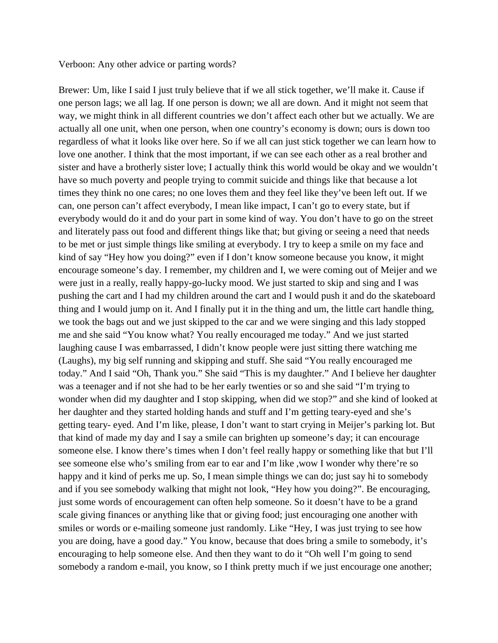#### Verboon: Any other advice or parting words?

Brewer: Um, like I said I just truly believe that if we all stick together, we'll make it. Cause if one person lags; we all lag. If one person is down; we all are down. And it might not seem that way, we might think in all different countries we don't affect each other but we actually. We are actually all one unit, when one person, when one country's economy is down; ours is down too regardless of what it looks like over here. So if we all can just stick together we can learn how to love one another. I think that the most important, if we can see each other as a real brother and sister and have a brotherly sister love; I actually think this world would be okay and we wouldn't have so much poverty and people trying to commit suicide and things like that because a lot times they think no one cares; no one loves them and they feel like they've been left out. If we can, one person can't affect everybody, I mean like impact, I can't go to every state, but if everybody would do it and do your part in some kind of way. You don't have to go on the street and literately pass out food and different things like that; but giving or seeing a need that needs to be met or just simple things like smiling at everybody. I try to keep a smile on my face and kind of say "Hey how you doing?" even if I don't know someone because you know, it might encourage someone's day. I remember, my children and I, we were coming out of Meijer and we were just in a really, really happy-go-lucky mood. We just started to skip and sing and I was pushing the cart and I had my children around the cart and I would push it and do the skateboard thing and I would jump on it. And I finally put it in the thing and um, the little cart handle thing, we took the bags out and we just skipped to the car and we were singing and this lady stopped me and she said "You know what? You really encouraged me today." And we just started laughing cause I was embarrassed, I didn't know people were just sitting there watching me (Laughs), my big self running and skipping and stuff. She said "You really encouraged me today." And I said "Oh, Thank you." She said "This is my daughter." And I believe her daughter was a teenager and if not she had to be her early twenties or so and she said "I'm trying to wonder when did my daughter and I stop skipping, when did we stop?" and she kind of looked at her daughter and they started holding hands and stuff and I'm getting teary-eyed and she's getting teary- eyed. And I'm like, please, I don't want to start crying in Meijer's parking lot. But that kind of made my day and I say a smile can brighten up someone's day; it can encourage someone else. I know there's times when I don't feel really happy or something like that but I'll see someone else who's smiling from ear to ear and I'm like ,wow I wonder why there're so happy and it kind of perks me up. So, I mean simple things we can do; just say hi to somebody and if you see somebody walking that might not look, "Hey how you doing?". Be encouraging, just some words of encouragement can often help someone. So it doesn't have to be a grand scale giving finances or anything like that or giving food; just encouraging one another with smiles or words or e-mailing someone just randomly. Like "Hey, I was just trying to see how you are doing, have a good day." You know, because that does bring a smile to somebody, it's encouraging to help someone else. And then they want to do it "Oh well I'm going to send somebody a random e-mail, you know, so I think pretty much if we just encourage one another;